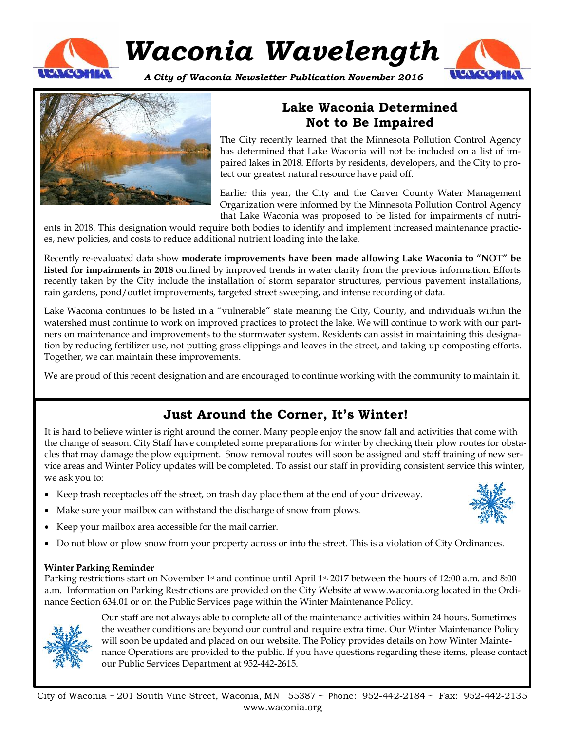

# *Waconia Wavelength*

*A City of Waconia Newsletter Publication November 2016*





## **Lake Waconia Determined Not to Be Impaired**

The City recently learned that the Minnesota Pollution Control Agency has determined that Lake Waconia will not be included on a list of impaired lakes in 2018. Efforts by residents, developers, and the City to protect our greatest natural resource have paid off.

Earlier this year, the City and the Carver County Water Management Organization were informed by the Minnesota Pollution Control Agency that Lake Waconia was proposed to be listed for impairments of nutri-

ents in 2018. This designation would require both bodies to identify and implement increased maintenance practices, new policies, and costs to reduce additional nutrient loading into the lake.

Recently re-evaluated data show **moderate improvements have been made allowing Lake Waconia to "NOT" be listed for impairments in 2018** outlined by improved trends in water clarity from the previous information. Efforts recently taken by the City include the installation of storm separator structures, pervious pavement installations, rain gardens, pond/outlet improvements, targeted street sweeping, and intense recording of data.

Lake Waconia continues to be listed in a "vulnerable" state meaning the City, County, and individuals within the watershed must continue to work on improved practices to protect the lake. We will continue to work with our partners on maintenance and improvements to the stormwater system. Residents can assist in maintaining this designation by reducing fertilizer use, not putting grass clippings and leaves in the street, and taking up composting efforts. Together, we can maintain these improvements.

We are proud of this recent designation and are encouraged to continue working with the community to maintain it.

## **Just Around the Corner, It's Winter!**

It is hard to believe winter is right around the corner. Many people enjoy the snow fall and activities that come with the change of season. City Staff have completed some preparations for winter by checking their plow routes for obstacles that may damage the plow equipment. Snow removal routes will soon be assigned and staff training of new service areas and Winter Policy updates will be completed. To assist our staff in providing consistent service this winter, we ask you to:

- Keep trash receptacles off the street, on trash day place them at the end of your driveway.
- Make sure your mailbox can withstand the discharge of snow from plows.
- Keep your mailbox area accessible for the mail carrier.
- Do not blow or plow snow from your property across or into the street. This is a violation of City Ordinances.

### **Winter Parking Reminder**

Parking restrictions start on November 1st and continue until April 1st, 2017 between the hours of 12:00 a.m. and 8:00 a.m. Information on Parking Restrictions are provided on the City Website at [www.waconia.org](http://www.waconia.org) located in the Ordinance Section 634.01 or on the Public Services page within the Winter Maintenance Policy.



Our staff are not always able to complete all of the maintenance activities within 24 hours. Sometimes the weather conditions are beyond our control and require extra time. Our Winter Maintenance Policy will soon be updated and placed on our website. The Policy provides details on how Winter Maintenance Operations are provided to the public. If you have questions regarding these items, please contact our Public Services Department at 952-442-2615.